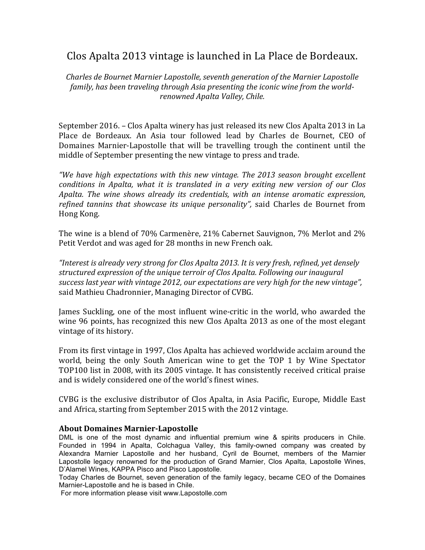## Clos Apalta 2013 vintage is launched in La Place de Bordeaux.

*Charles de Bournet Marnier Lapostolle, seventh generation of the Marnier Lapostolle* family, has been traveling through Asia presenting the iconic wine from the world*renowned Apalta Valley, Chile.*

September 2016. – Clos Apalta winery has just released its new Clos Apalta 2013 in La Place de Bordeaux. An Asia tour followed lead by Charles de Bournet, CEO of Domaines Marnier-Lapostolle that will be travelling trough the continent until the middle of September presenting the new vintage to press and trade.

*"We have high expectations with this new vintage. The 2013 season brought excellent conditions* in Apalta, what it is translated in a very exiting new version of our Clos *Apalta.* The wine shows already its credentials, with an intense aromatic expression, *refined tannins that showcase its unique personality"*, said Charles de Bournet from Hong Kong.

The wine is a blend of 70% Carmenère,  $21\%$  Cabernet Sauvignon, 7% Merlot and 2% Petit Verdot and was aged for 28 months in new French oak.

"Interest is already very strong for Clos Apalta 2013. It is very fresh, refined, yet densely *structured expression of the unique terroir of Clos Apalta. Following our inaugural* success last year with vintage 2012, our expectations are very high for the new vintage", said Mathieu Chadronnier, Managing Director of CVBG.

James Suckling, one of the most influent wine-critic in the world, who awarded the wine 96 points, has recognized this new Clos Apalta 2013 as one of the most elegant vintage of its history.

From its first vintage in 1997, Clos Apalta has achieved worldwide acclaim around the world, being the only South American wine to get the TOP 1 by Wine Spectator TOP100 list in 2008, with its 2005 vintage. It has consistently received critical praise and is widely considered one of the world's finest wines.

CVBG is the exclusive distributor of Clos Apalta, in Asia Pacific, Europe, Middle East and Africa, starting from September 2015 with the 2012 vintage.

## **About Domaines Marnier-Lapostolle**

DML is one of the most dynamic and influential premium wine & spirits producers in Chile. Founded in 1994 in Apalta, Colchagua Valley, this family-owned company was created by Alexandra Marnier Lapostolle and her husband, Cyril de Bournet, members of the Marnier Lapostolle legacy renowned for the production of Grand Marnier, Clos Apalta, Lapostolle Wines, D'Alamel Wines, KAPPA Pisco and Pisco Lapostolle.

Today Charles de Bournet, seven generation of the family legacy, became CEO of the Domaines Marnier-Lapostolle and he is based in Chile.

For more information please visit www.Lapostolle.com